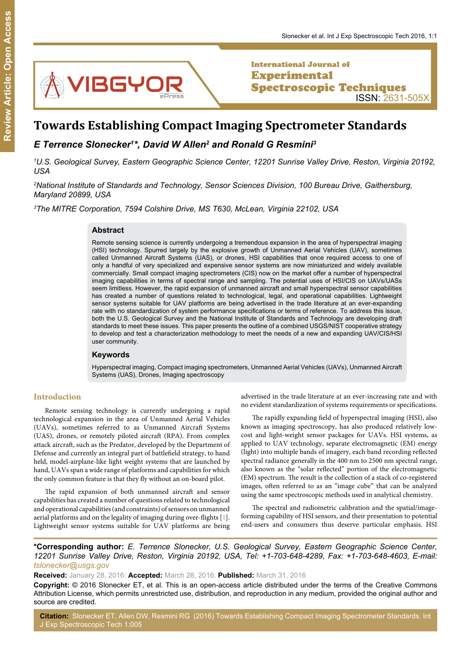

International Journal of **Experimental** Spectroscopic Techniques ISSN: 2631-505X

# **Towards Establishing Compact Imaging Spectrometer Standards**

# *E Terrence Slonecker1 \*, David W Allen2 and Ronald G Resmini3*

*1 U.S. Geological Survey, Eastern Geographic Science Center, 12201 Sunrise Valley Drive, Reston, Virginia 20192, USA*

*2 National Institute of Standards and Technology, Sensor Sciences Division, 100 Bureau Drive, Gaithersburg, Maryland 20899, USA*

*3 The MITRE Corporation, 7594 Colshire Drive, MS T630, McLean, Virginia 22102, USA*

### **Abstract**

Remote sensing science is currently undergoing a tremendous expansion in the area of hyperspectral imaging (HSI) technology. Spurred largely by the explosive growth of Unmanned Aerial Vehicles (UAV), sometimes called Unmanned Aircraft Systems (UAS), or drones, HSI capabilities that once required access to one of only a handful of very specialized and expensive sensor systems are now miniaturized and widely available commercially. Small compact imaging spectrometers (CIS) now on the market offer a number of hyperspectral imaging capabilities in terms of spectral range and sampling. The potential uses of HSI/CIS on UAVs/UASs seem limitless. However, the rapid expansion of unmanned aircraft and small hyperspectral sensor capabilities has created a number of questions related to technological, legal, and operational capabilities. Lightweight sensor systems suitable for UAV platforms are being advertised in the trade literature at an ever-expanding rate with no standardization of system performance specifications or terms of reference. To address this issue, both the U.S. Geological Survey and the National Institute of Standards and Technology are developing draft standards to meet these issues. This paper presents the outline of a combined USGS/NIST cooperative strategy to develop and test a characterization methodology to meet the needs of a new and expanding UAV/CIS/HSI user community.

#### **Keywords**

Hyperspectral imaging, Compact imaging spectrometers, Unmanned Aerial Vehicles (UAVs), Unmanned Aircraft Systems (UAS), Drones, Imaging spectroscopy

# **Introduction**

Remote sensing technology is currently undergoing a rapid technological expansion in the area of Unmanned Aerial Vehicles (UAVs), sometimes referred to as Unmanned Aircraft Systems (UAS), drones, or remotely piloted aircraft (RPA). From complex attack aircraft, such as the Predator, developed by the Department of Defense and currently an integral part of battlefield strategy, to hand held, model-airplane-like light weight systems that are launched by hand, UAVs span a wide range of platforms and capabilities for which the only common feature is that they fly without an on-board pilot.

The rapid expansion of both unmanned aircraft and sensor capabilities has created a number of questions related to technological and operational capabilities (and constraints) of sensors on unmanned aerial platforms and on the legality of imaging during over-flights [\[1](#page-4-0)]. Lightweight sensor systems suitable for UAV platforms are being

advertised in the trade literature at an ever-increasing rate and with no evident standardization of systems requirements or specifications.

The rapidly expanding field of hyperspectral imaging (HSI), also known as imaging spectroscopy, has also produced relatively lowcost and light-weight sensor packages for UAVs. HSI systems, as applied to UAV technology, separate electromagnetic (EM) energy (light) into multiple bands of imagery, each band recording reflected spectral radiance generally in the 400 nm to 2500 nm spectral range, also known as the "solar reflected" portion of the electromagnetic (EM) spectrum. The result is the collection of a stack of co-registered images, often referred to as an "image cube" that can be analyzed using the same spectroscopic methods used in analytical chemistry.

The spectral and radiometric calibration and the spatial/imageforming capability of HSI sensors, and their presentation to potential end-users and consumers thus deserve particular emphasis. HSI

**\*Corresponding author:** *E. Terrence Slonecker, U.S. Geological Survey, Eastern Geographic Science Center, 12201 Sunrise Valley Drive, Reston, Virginia 20192, USA, Tel: +1-703-648-4289, Fax: +1-703-648-4603, E-mail: tslonecker@usgs.gov*

**Received:** January 28, 2016: **Accepted:** March 28, 2016: **Published:** March 31, 2016

**Copyright:** © 2016 Slonecker ET, et al. This is an open-access article distributed under the terms of the Creative Commons Attribution License, which permits unrestricted use, distribution, and reproduction in any medium, provided the original author and source are credited.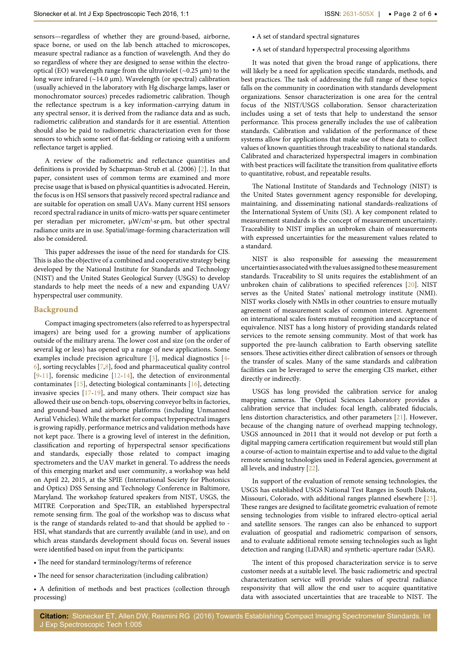sensors—regardless of whether they are ground-based, airborne, space borne, or used on the lab bench attached to microscopes, measure spectral radiance as a function of wavelength. And they do so regardless of where they are designed to sense within the electrooptical (EO) wavelength range from the ultraviolet ( $\sim$ 0.25  $\mu$ m) to the long wave infrared ( $\sim$ 14.0 µm). Wavelength (or spectral) calibration (usually achieved in the laboratory with Hg discharge lamps, laser or monochromator sources) precedes radiometric calibration. Though the reflectance spectrum is a key information-carrying datum in any spectral sensor, it is derived from the radiance data and as such, radiometric calibration and standards for it are essential. Attention should also be paid to radiometric characterization even for those sensors to which some sort of flat-fielding or ratioing with a uniform reflectance target is applied.

A review of the radiometric and reflectance quantities and definitions is provided by Schaepman-Strub et al. (2006) [[2](#page-4-5)]. In that paper, consistent uses of common terms are examined and more precise usage that is based on physical quantities is advocated. Herein, the focus is on HSI sensors that passively record spectral radiance and are suitable for operation on small UAVs. Many current HSI sensors record spectral radiance in units of micro-watts per square centimeter per steradian per micrometer, µW/cm<sup>2</sup>·sr·µm, but other spectral radiance units are in use. Spatial/image-forming characterization will also be considered.

This paper addresses the issue of the need for standards for CIS. This is also the objective of a combined and cooperative strategy being developed by the National Institute for Standards and Technology (NIST) and the United States Geological Survey (USGS) to develop standards to help meet the needs of a new and expanding UAV/ hyperspectral user community.

#### **Background**

Compact imaging spectrometers (also referred to as hyperspectral imagers) are being used for a growing number of applications outside of the military arena. The lower cost and size (on the order of several kg or less) has opened up a range of new applications. Some examples include precision agriculture [[3](#page-4-6)], medical diagnostics [\[4](#page-4-7)- [6\]](#page-4-8), sorting recyclables [\[7,](#page-4-9)[8](#page-4-10)], food and pharmaceutical quality control  $[9-11]$  $[9-11]$  $[9-11]$ , forensic medicine  $[12-14]$  $[12-14]$  $[12-14]$  $[12-14]$ , the detection of environmental contaminates [[15](#page-4-15)], detecting biological contaminants [\[16\]](#page-4-16), detecting invasive species [[17](#page-4-17)-[19](#page-4-18)], and many others. Their compact size has allowed their use on bench-tops, observing conveyor belts in factories, and ground-based and airborne platforms (including Unmanned Aerial Vehicles). While the market for compact hyperspectral imagers is growing rapidly, performance metrics and validation methods have not kept pace. There is a growing level of interest in the definition, classification and reporting of hyperspectral sensor specifications and standards, especially those related to compact imaging spectrometers and the UAV market in general. To address the needs of this emerging market and user community, a workshop was held on April 22, 2015, at the SPIE (International Society for Photonics and Optics) DSS Sensing and Technology Conference in Baltimore, Maryland. The workshop featured speakers from NIST, USGS, the MITRE Corporation and SpecTIR, an established hyperspectral remote sensing firm. The goal of the workshop was to discuss what is the range of standards related to-and that should be applied to - HSI, what standards that are currently available (and in use), and on which areas standards development should focus on. Several issues were identified based on input from the participants:

• The need for standard terminology/terms of reference

- The need for sensor characterization (including calibration)
- A definition of methods and best practices (collection through processing)
- A set of standard spectral signatures
- A set of standard hyperspectral processing algorithms

It was noted that given the broad range of applications, there will likely be a need for application specific standards, methods, and best practices. The task of addressing the full range of these topics falls on the community in coordination with standards development organizations. Sensor characterization is one area for the central focus of the NIST/USGS collaboration. Sensor characterization includes using a set of tests that help to understand the sensor performance. This process generally includes the use of calibration standards. Calibration and validation of the performance of these systems allow for applications that make use of these data to collect values of known quantities through traceability to national standards. Calibrated and characterized hyperspectral imagers in combination with best practices will facilitate the transition from qualitative efforts to quantitative, robust, and repeatable results.

The National Institute of Standards and Technology (NIST) is the United States government agency responsible for developing, maintaining, and disseminating national standards-realizations of the International System of Units (SI). A key component related to measurement standards is the concept of measurement uncertainty. Traceability to NIST implies an unbroken chain of measurements with expressed uncertainties for the measurement values related to a standard.

NIST is also responsible for assessing the measurement uncertainties associated with the values assigned to these measurement standards. Traceability to SI units requires the establishment of an unbroken chain of calibrations to specified references [\[20](#page-4-1)]. NIST serves as the United States' national metrology institute (NMI). NIST works closely with NMIs in other countries to ensure mutually agreement of measurement scales of common interest. Agreement on international scales fosters mutual recognition and acceptance of equivalence. NIST has a long history of providing standards related services to the remote sensing community. Most of that work has supported the pre-launch calibration to Earth observing satellite sensors. These activities either direct calibration of sensors or through the transfer of scales. Many of the same standards and calibration facilities can be leveraged to serve the emerging CIS market, either directly or indirectly.

USGS has long provided the calibration service for analog mapping cameras. The Optical Sciences Laboratory provides a calibration service that includes: focal length, calibrated fiducials, lens distortion characteristics, and other parameters [\[21\]](#page-4-2). However, because of the changing nature of overhead mapping technology, USGS announced in 2011 that it would not develop or put forth a digital mapping camera certification requirement but would still plan a course-of-action to maintain expertise and to add value to the digital remote sensing technologies used in Federal agencies, government at all levels, and industry [\[22\]](#page-4-3).

In support of the evaluation of remote sensing technologies, the USGS has established USGS National Test Ranges in South Dakota, Missouri, Colorado, with additional ranges planned elsewhere [[23\]](#page-4-4). These ranges are designed to facilitate geometric evaluation of remote sensing technologies from visible to infrared electro-optical aerial and satellite sensors. The ranges can also be enhanced to support evaluation of geospatial and radiometric comparison of sensors, and to evaluate additional remote sensing technologies such as light detection and ranging (LiDAR) and synthetic-aperture radar (SAR).

The intent of this proposed characterization service is to serve customer needs at a suitable level. The basic radiometric and spectral characterization service will provide values of spectral radiance responsivity that will allow the end user to acquire quantitative data with associated uncertainties that are traceable to NIST. The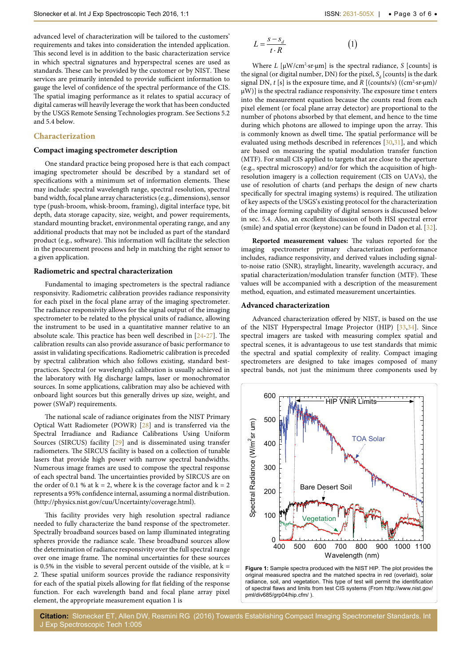advanced level of characterization will be tailored to the customers' requirements and takes into consideration the intended application. This second level is in addition to the basic characterization service in which spectral signatures and hyperspectral scenes are used as standards. These can be provided by the customer or by NIST. These services are primarily intended to provide sufficient information to gauge the level of confidence of the spectral performance of the CIS. The spatial imaging performance as it relates to spatial accuracy of digital cameras will heavily leverage the work that has been conducted by the USGS Remote Sensing Technologies program. See Sections 5.2 and 5.4 below.

# **Characterization**

## **Compact imaging spectrometer description**

One standard practice being proposed here is that each compact imaging spectrometer should be described by a standard set of specifications with a minimum set of information elements. These may include: spectral wavelength range, spectral resolution, spectral band width, focal plane array characteristics (e.g., dimensions), sensor type (push-broom, whisk-broom, framing), digital interface type, bit depth, data storage capacity, size, weight, and power requirements, standard mounting bracket, environmental operating range, and any additional products that may not be included as part of the standard product (e.g., software). This information will facilitate the selection in the procurement process and help in matching the right sensor to a given application.

# **Radiometric and spectral characterization**

Fundamental to imaging spectrometers is the spectral radiance responsivity. Radiometric calibration provides radiance responsivity for each pixel in the focal plane array of the imaging spectrometer. The radiance responsivity allows for the signal output of the imaging spectrometer to be related to the physical units of radiance, allowing the instrument to be used in a quantitative manner relative to an absolute scale. This practice has been well described in [[24](#page-4-24)-[27](#page-4-25)]. The calibration results can also provide assurance of basic performance to assist in validating specifications. Radiometric calibration is preceded by spectral calibration which also follows existing, standard bestpractices. Spectral (or wavelength) calibration is usually achieved in the laboratory with Hg discharge lamps, laser or monochromator sources. In some applications, calibration may also be achieved with onboard light sources but this generally drives up size, weight, and power (SWaP) requirements.

The national scale of radiance originates from the NIST Primary Optical Watt Radiometer (POWR) [[28](#page-4-26)] and is transferred via the Spectral Irradiance and Radiance Calibrations Using Uniform Sources (SIRCUS) facility [\[29\]](#page-4-27) and is disseminated using transfer radiometers. The SIRCUS facility is based on a collection of tunable lasers that provide high power with narrow spectral bandwidths. Numerous image frames are used to compose the spectral response of each spectral band. The uncertainties provided by SIRCUS are on the order of 0.1 % at  $k = 2$ , where k is the coverage factor and  $k = 2$ represents a 95% confidence internal, assuming a normal distribution. (<http://physics.nist.gov/cuu/Uncertainty/coverage.html>).

This facility provides very high resolution spectral radiance needed to fully characterize the band response of the spectrometer. Spectrally broadband sources based on lamp illuminated integrating spheres provide the radiance scale. These broadband sources allow the determination of radiance responsivity over the full spectral range over one image frame. The nominal uncertainties for these sources is 0.5% in the visible to several percent outside of the visible, at  $k =$ *2*. These spatial uniform sources provide the radiance responsivity for each of the spatial pixels allowing for flat fielding of the response function. For each wavelength band and focal plane array pixel element, the appropriate measurement equation 1 is

$$
L = \frac{s - s_d}{t \cdot R} \tag{1}
$$

Where  $L$  [ $\mu$ W/cm<sup>2</sup>·sr· $\mu$ m] is the spectral radiance, *S* [counts] is the signal (or digital number, DN) for the pixel,  $S_d$  [counts] is the dark signal DN, *t* [s] is the exposure time, and *R* [(counts/s) ((cm<sup>2</sup>·sr·μm)/  $\mu$ W)] is the spectral radiance responsivity. The exposure time t enters into the measurement equation because the counts read from each pixel element (or focal plane array detector) are proportional to the number of photons absorbed by that element, and hence to the time during which photons are allowed to impinge upon the array. This is commonly known as dwell time**.** The spatial performance will be evaluated using methods described in references [\[30](#page-4-19)[,31\]](#page-4-20), and which are based on measuring the spatial modulation transfer function (MTF). For small CIS applied to targets that are close to the aperture (e.g., spectral microscopy) and/or for which the acquisition of highresolution imagery is a collection requirement (CIS on UAVs), the use of resolution of charts (and perhaps the design of new charts specifically for spectral imaging systems) is required. The utilization of key aspects of the USGS's existing protocol for the characterization of the image forming capability of digital sensors is discussed below in sec. 5.4. Also, an excellent discussion of both HSI spectral error (smile) and spatial error (keystone) can be found in Dadon et al. [[32\]](#page-4-21).

**Reported measurement values:** The values reported for the imaging spectrometer primary characterization performance includes, radiance responsivity, and derived values including signalto-noise ratio (SNR), straylight, linearity, wavelength accuracy, and spatial characterization/modulation transfer function (MTF). These values will be accompanied with a description of the measurement method, equation, and estimated measurement uncertainties.

#### **Advanced characterization**

Advanced characterization offered by NIST, is based on the use of the NIST Hyperspectral Image Projector (HIP) [[33](#page-4-22)[,34](#page-4-23)]. Since spectral imagers are tasked with measuring complex spatial and spectral scenes, it is advantageous to use test standards that mimic the spectral and spatial complexity of reality. Compact imaging spectrometers are designed to take images composed of many spectral bands, not just the minimum three components used by

<span id="page-2-0"></span>

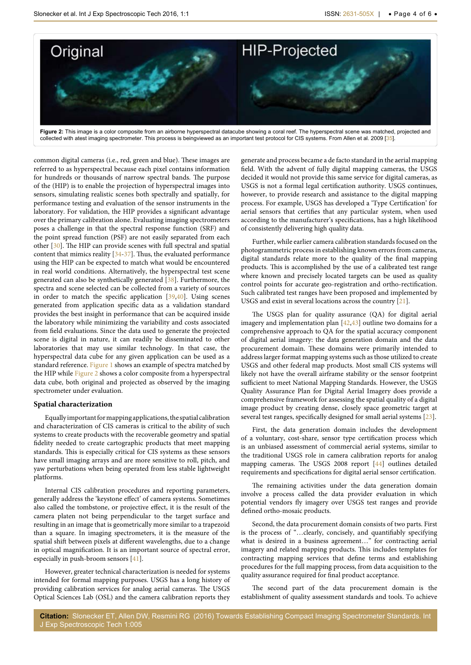<span id="page-3-0"></span>

Figure 2: This image is a color composite from an airborne hyperspectral datacube showing a coral reef. The hyperspectral scene was matched, projected and collected with atest imaging spectrometer. This process is beingviewed as an important test protocol for CIS systems. From Allen et al. 2009 [[35](#page-4-29)].

common digital cameras (i.e., red, green and blue). These images are referred to as hyperspectral because each pixel contains information for hundreds or thousands of narrow spectral bands. The purpose of the (HIP) is to enable the projection of hyperspectral images into sensors, simulating realistic scenes both spectrally and spatially, for performance testing and evaluation of the sensor instruments in the laboratory. For validation, the HIP provides a significant advantage over the primary calibration alone. Evaluating imaging spectrometers poses a challenge in that the spectral response function (SRF) and the point spread function (PSF) are not easily separated from each other [\[30](#page-4-19)]. The HIP can provide scenes with full spectral and spatial content that mimics reality [[34-](#page-4-23)[37](#page-4-28)]. Thus, the evaluated performance using the HIP can be expected to match what would be encountered in real world conditions. Alternatively, the hyperspectral test scene generated can also be synthetically generated [[38](#page-5-0)]. Furthermore, the spectra and scene selected can be collected from a variety of sources in order to match the specific application [[39](#page-5-1)[,40](#page-5-2)]. Using scenes generated from application specific data as a validation standard provides the best insight in performance that can be acquired inside the laboratory while minimizing the variability and costs associated from field evaluations. Since the data used to generate the projected scene is digital in nature, it can readily be disseminated to other laboratories that may use similar technology. In that case, the hyperspectral data cube for any given application can be used as a standard reference. [Figure 1](#page-2-0) shows an example of spectra matched by the HIP while [Figure 2](#page-3-0) shows a color composite from a hyperspectral data cube, both original and projected as observed by the imaging spectrometer under evaluation.

#### **Spatial characterization**

Equally important for mapping applications, the spatial calibration and characterization of CIS cameras is critical to the ability of such systems to create products with the recoverable geometry and spatial fidelity needed to create cartographic products that meet mapping standards. This is especially critical for CIS systems as these sensors have small imaging arrays and are more sensitive to roll, pitch, and yaw perturbations when being operated from less stable lightweight platforms.

Internal CIS calibration procedures and reporting parameters, generally address the 'keystone effect' of camera systems. Sometimes also called the tombstone, or projective effect, it is the result of the camera platen not being perpendicular to the target surface and resulting in an image that is geometrically more similar to a trapezoid than a square. In imaging spectrometers, it is the measure of the spatial shift between pixels at different wavelengths, due to a change in optical magnification. It is an important source of spectral error, especially in push-broom sensors [[41](#page-5-3)].

However, greater technical characterization is needed for systems intended for formal mapping purposes. USGS has a long history of providing calibration services for analog aerial cameras. The USGS Optical Sciences Lab (OSL) and the camera calibration reports they

generate and process became a de facto standard in the aerial mapping field. With the advent of fully digital mapping cameras, the USGS decided it would not provide this same service for digital cameras, as USGS is not a formal legal certification authority. USGS continues, however, to provide research and assistance to the digital mapping process. For example, USGS has developed a 'Type Certification' for aerial sensors that certifies that any particular system, when used according to the manufacturer's specifications, has a high likelihood of consistently delivering high quality data.

Further, while earlier camera calibration standards focused on the photogrammetric process in establishing known errors from cameras, digital standards relate more to the quality of the final mapping products. This is accomplished by the use of a calibrated test range where known and precisely located targets can be used as quality control points for accurate geo-registration and ortho-rectification. Such calibrated test ranges have been proposed and implemented by USGS and exist in several locations across the country [[21](#page-4-2)].

The USGS plan for quality assurance (QA) for digital aerial imagery and implementation plan [[42,](#page-5-4)[43](#page-5-5)] outline two domains for a comprehensive approach to QA for the spatial accuracy component of digital aerial imagery: the data generation domain and the data procurement domain. These domains were primarily intended to address larger format mapping systems such as those utilized to create USGS and other federal map products. Most small CIS systems will likely not have the overall airframe stability or the sensor footprint sufficient to meet National Mapping Standards. However, the USGS Quality Assurance Plan for Digital Aerial Imagery does provide a comprehensive framework for assessing the spatial quality of a digital image product by creating dense, closely space geometric target at several test ranges, specifically designed for small aerial systems [[23\]](#page-4-4).

First, the data generation domain includes the development of a voluntary, cost-share, sensor type certification process which is an unbiased assessment of commercial aerial systems, similar to the traditional USGS role in camera calibration reports for analog mapping cameras. The USGS 2008 report [\[44](#page-5-6)] outlines detailed requirements and specifications for digital aerial sensor certification.

The remaining activities under the data generation domain involve a process called the data provider evaluation in which potential vendors fly imagery over USGS test ranges and provide defined ortho-mosaic products.

Second, the data procurement domain consists of two parts. First is the process of "…clearly, concisely, and quantifiably specifying what is desired in a business agreement…" for contracting aerial imagery and related mapping products. This includes templates for contracting mapping services that define terms and establishing procedures for the full mapping process, from data acquisition to the quality assurance required for final product acceptance.

The second part of the data procurement domain is the establishment of quality assessment standards and tools. To achieve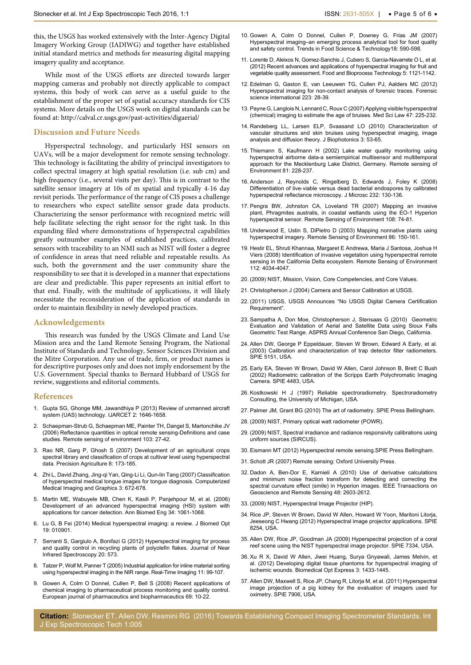this, the USGS has worked extensively with the Inter-Agency Digital Imagery Working Group (IADIWG) and together have established initial standard metrics and methods for measuring digital mapping imagery quality and acceptance.

While most of the USGS efforts are directed towards larger mapping cameras and probably not directly applicable to compact systems, this body of work can serve as a useful guide to the establishment of the proper set of spatial accuracy standards for CIS systems. More details on the USGS work on digital standards can be found at:<http://calval.cr.usgs.gov/past-activities/digaerial/>

#### **Discussion and Future Needs**

Hyperspectral technology, and particularly HSI sensors on UAVs, will be a major development for remote sensing technology. This technology is facilitating the ability of principal investigators to collect spectral imagery at high spatial resolution (i.e. sub cm) and high frequency (i.e., several visits per day). This is in contrast to the satellite sensor imagery at 10s of m spatial and typically 4-16 day revisit periods. The performance of the range of CIS poses a challenge to researchers who expect satellite sensor grade data products. Characterizing the sensor performance with recognized metric will help facilitate selecting the right sensor for the right task. In this expanding filed where demonstrations of hyperspectral capabilities greatly outnumber examples of established practices, calibrated sensors with traceability to an NMI such as NIST will foster a degree of confidence in areas that need reliable and repeatable results. As such, both the government and the user community share the responsibility to see that it is developed in a manner that expectations are clear and predictable. This paper represents an initial effort to that end. Finally, with the multitude of applications, it will likely necessitate the reconsideration of the application of standards in order to maintain flexibility in newly developed practices.

#### **Acknowledgements**

This research was funded by the USGS Climate and Land Use Mission area and the Land Remote Sensing Program, the National Institute of Standards and Technology, Sensor Sciences Division and the Mitre Corporation. Any use of trade, firm, or product names is for descriptive purposes only and does not imply endorsement by the U.S. Government. Special thanks to Bernard Hubbard of USGS for review, suggestions and editorial comments.

#### **References**

- <span id="page-4-0"></span>1. [Gupta SG, Ghonge MM, Jawandhiya P \(2013\) Review of unmanned aircraft](http://ijarcet.org/wp-content/uploads/IJARCET-VOL-2-ISSUE-4-1646-1658.pdf)  [system \(UAS\) technology. IJARCET 2: 1646-1658.](http://ijarcet.org/wp-content/uploads/IJARCET-VOL-2-ISSUE-4-1646-1658.pdf)
- <span id="page-4-5"></span>2. [Schaepman-Strub G, Schaepman ME, Painter TH, Dangel S, Martonchike JV](http://www.sciencedirect.com/science/article/pii/S0034425706001167)  [\(2006\) Reflectance quantities in optical remote sensing-Definitions and case](http://www.sciencedirect.com/science/article/pii/S0034425706001167)  [studies. Remote sensing of environment 103: 27-42.](http://www.sciencedirect.com/science/article/pii/S0034425706001167)
- <span id="page-4-6"></span>3. [Rao NR, Garg P, Ghosh S \(2007\) Development of an agricultural crops](http://link.springer.com/article/10.1007%2Fs11119-007-9037-x)  [spectral library and classification of crops at cultivar level using hyperspectral](http://link.springer.com/article/10.1007%2Fs11119-007-9037-x)  [data. Precision Agriculture 8: 173-185.](http://link.springer.com/article/10.1007%2Fs11119-007-9037-x)
- <span id="page-4-7"></span>4. [Zhi L, David Zhang, Jing-qi Yan, Qing-Li Li, Qun-lin Tang \(2007\) Classification](http://www.sciencedirect.com/science/article/pii/S0895611107001243)  [of hyperspectral medical tongue images for tongue diagnosis. Computerized](http://www.sciencedirect.com/science/article/pii/S0895611107001243)  [Medical Imaging and Graphics 3: 672-678.](http://www.sciencedirect.com/science/article/pii/S0895611107001243)
- 5. [Martin ME, Wabuyele MB, Chen K, Kasili P, Panjehpour M, et al. \(2006\)](http://www.ncbi.nlm.nih.gov/pubmed/16783661)  [Development of an advanced hyperspectral imaging \(HSI\) system with](http://www.ncbi.nlm.nih.gov/pubmed/16783661)  [applications for cancer detection. Ann Biomed Eng 34: 1061-1068.](http://www.ncbi.nlm.nih.gov/pubmed/16783661)
- <span id="page-4-8"></span>6. [Lu G, B Fei \(2014\) Medical hyperspectral imaging: a review. J Biomed Opt](http://biomedicaloptics.spiedigitallibrary.org/article.aspx?articleid=1816617)  [19: 010901.](http://biomedicaloptics.spiedigitallibrary.org/article.aspx?articleid=1816617)
- <span id="page-4-9"></span>7. [Serranti S, Gargiulo A, Bonifazi G \(2012\) Hyperspectral imaging for process](http://www.impublications.com/content/abstract?code=J20_0573)  [and quality control in recycling plants of polyolefin flakes. Journal of Near](http://www.impublications.com/content/abstract?code=J20_0573)  [Infrared Spectroscopy 20: 573.](http://www.impublications.com/content/abstract?code=J20_0573)
- <span id="page-4-10"></span>8. [Tatzer P, Wolf M, Panner T \(2005\) Industrial application for inline material sorting](http://www.sciencedirect.com/science/article/pii/S1077201405000173)  [using hyperspectral imaging in the NIR range. Real-Time Imaging 11: 99-107.](http://www.sciencedirect.com/science/article/pii/S1077201405000173)
- <span id="page-4-11"></span>9. [Gowen A, Colm O Donnel, Cullen P, Bell S \(2008\) Recent applications of](http://arrow.dit.ie/cgi/viewcontent.cgi?article=1012&context=schfsehart)  [chemical imaging to pharmaceutical process monitoring and quality control.](http://arrow.dit.ie/cgi/viewcontent.cgi?article=1012&context=schfsehart)  [European journal of pharmaceutics and biopharmaceutics 69: 10-22.](http://arrow.dit.ie/cgi/viewcontent.cgi?article=1012&context=schfsehart)
- 10. [Gowen A, Colm O Donnel, Cullen P, Downey G, Frias JM \(2007\)](http://www.sciencedirect.com/science/article/pii/S0924224407002026)  [Hyperspectral imaging–an emerging process analytical tool for food quality](http://www.sciencedirect.com/science/article/pii/S0924224407002026)  [and safety control. Trends in Food Science & Technology18: 590-598.](http://www.sciencedirect.com/science/article/pii/S0924224407002026)
- <span id="page-4-12"></span>11. [Lorente D, Aleixos N, Gomez-Sanchis J,](http://link.springer.com/article/10.1007%2Fs11947-011-0725-1) Cubero S, Garcia-Navarrete O L, et al. [\(2012\) Recent advances and applications of hyperspectral imaging for fruit and](http://link.springer.com/article/10.1007%2Fs11947-011-0725-1)  [vegetable quality assessment. Food and Bioprocess Technology 5: 1121-1142.](http://link.springer.com/article/10.1007%2Fs11947-011-0725-1)
- <span id="page-4-13"></span>12. [Edelman G, Gaston E, van Leeuwen TG, Cullen PJ, Aalders MC \(2012\)](http://www.ncbi.nlm.nih.gov/pubmed/23088824)  [Hyperspectral imaging for non-contact analysis of forensic traces. Forensic](http://www.ncbi.nlm.nih.gov/pubmed/23088824)  [science international 223: 28-39.](http://www.ncbi.nlm.nih.gov/pubmed/23088824)
- 13. [Payne G, Langlois N, Lennard C, Roux C \(2007\) Applying visible hyperspectral](http://www.ncbi.nlm.nih.gov/pubmed/17725236)  [\(chemical\) imaging to estimate the age of bruises. Med Sci Law 47: 225-232.](http://www.ncbi.nlm.nih.gov/pubmed/17725236)
- <span id="page-4-14"></span>14. [Randeberg LL, Larsen ELP, Svaasand LO \(2010\) Characterization of](http://www.ncbi.nlm.nih.gov/pubmed/19739145)  [vascular structures and skin bruises using hyperspectral imaging, image](http://www.ncbi.nlm.nih.gov/pubmed/19739145)  [analysis and diffusion theory. J Biophotonics 3: 53-65.](http://www.ncbi.nlm.nih.gov/pubmed/19739145)
- <span id="page-4-15"></span>15. [Thiemann S, Kaufmann H \(2002\) Lake water quality monitoring using](http://www.sciencedirect.com/science/article/pii/S0034425701003455)  [hyperspectral airborne data-a semiempirical multisensor and multitemporal](http://www.sciencedirect.com/science/article/pii/S0034425701003455)  [approach for the Mecklenburg Lake District, Germany. Remote sensing of](http://www.sciencedirect.com/science/article/pii/S0034425701003455)  [Environment 81: 228-237.](http://www.sciencedirect.com/science/article/pii/S0034425701003455)
- <span id="page-4-16"></span>16. [Anderson J, Reynolds C, Ringelberg D, Edwards J, Foley K \(2008\)](http://www.ncbi.nlm.nih.gov/pubmed/19017210)  Differentiation of live‐[viable versus dead bacterial endospores by calibrated](http://www.ncbi.nlm.nih.gov/pubmed/19017210)  [hyperspectral reflectance microscopy. J Microsc 232: 130-136.](http://www.ncbi.nlm.nih.gov/pubmed/19017210)
- <span id="page-4-17"></span>17. [Pengra BW, Johnston CA, Loveland TR \(2007\) Mapping an invasive](http://www.sciencedirect.com/science/article/pii/S0034425706004500)  [plant, Phragmites australis, in coastal wetlands using the EO-1 Hyperion](http://www.sciencedirect.com/science/article/pii/S0034425706004500)  [hyperspectral sensor. Remote Sensing of Environment 108: 74-81.](http://www.sciencedirect.com/science/article/pii/S0034425706004500)
- 18. [Underwood E, Ustin S, DiPietro D \(2003\) Mapping nonnative plants using](http://aviris.jpl.nasa.gov/proceedings/workshops/02_docs/2002_Underwood_web.pdf)  [hyperspectral imagery. Remote Sensing of Environment 86: 150-161.](http://aviris.jpl.nasa.gov/proceedings/workshops/02_docs/2002_Underwood_web.pdf)
- <span id="page-4-18"></span>19. [Hestir EL, Shruti Khannaa, Margaret E Andrewa, Maria J Santosa, Joshua H](http://www.sciencedirect.com/science/article/pii/S0034425708002046)  [Viers \(2008\) Identification of invasive vegetation using hyperspectral remote](http://www.sciencedirect.com/science/article/pii/S0034425708002046)  [sensing in the California Delta ecosystem. Remote Sensing of Environment](http://www.sciencedirect.com/science/article/pii/S0034425708002046)  [112: 4034-4047.](http://www.sciencedirect.com/science/article/pii/S0034425708002046)
- <span id="page-4-1"></span>20. [\(2009\) NIST, Mission, Vision, Core Competencies, and Core Values.](http://www.nist.gov/public_affairs/mission.cfm)
- <span id="page-4-2"></span>21. Christopherson J (2004) Camera and Sensor Calibration at USGS.
- <span id="page-4-3"></span>22. [\(2011\) USGS, USGS Announces "No USGS Digital Camera Certification](https://calval.cr.usgs.gov/mews/usgs-announces-no-usgs-digital-camera-certification-requirement/)  [Requirement".](https://calval.cr.usgs.gov/mews/usgs-announces-no-usgs-digital-camera-certification-requirement/)
- <span id="page-4-4"></span>23. [Sampatha A, Don Moe, Christopherson J, Stensaas G \(2010\) Geometric](http://www.asprs.org/a/publications/proceedings/sandiego2010/sandiego10/Sampath.pdf)  [Evaluation and Validation of Aerial and Satellite Data using Sioux Falls](http://www.asprs.org/a/publications/proceedings/sandiego2010/sandiego10/Sampath.pdf)  [Geometric Test Range. ASPRS Annual Conference San Diego, California.](http://www.asprs.org/a/publications/proceedings/sandiego2010/sandiego10/Sampath.pdf)
- <span id="page-4-24"></span>24. [Allen DW, George P Eppeldauer, Steven W Brown, Edward A Early, et al.](http://proceedings.spiedigitallibrary.org/proceeding.aspx?articleid=768161)  [\(2003\) Calibration and characterization of trap detector filter radiometers.](http://proceedings.spiedigitallibrary.org/proceeding.aspx?articleid=768161)  [SPIE 5151, USA.](http://proceedings.spiedigitallibrary.org/proceeding.aspx?articleid=768161)
- 25. [Early EA, Steven W Brown, David W Allen, Carol Johnson B, Brett C Bush](http://proceedings.spiedigitallibrary.org/proceeding.aspx?articleid=893001)  [\(2002\) Radiometric calibration of the Scripps Earth Polychromatic Imaging](http://proceedings.spiedigitallibrary.org/proceeding.aspx?articleid=893001)  [Camera. SPIE 4483, USA.](http://proceedings.spiedigitallibrary.org/proceeding.aspx?articleid=893001)
- 26. [Kostkowski H J \(1997\) Reliable spectroradiometry. Spectroradiometry](https://books.google.co.in/books/about/Reliable_Spectroradiometry.html?id=dVNRAAAAMAAJ&redir_esc=y%5d)  [Consulting, the University of Michigan, USA.](https://books.google.co.in/books/about/Reliable_Spectroradiometry.html?id=dVNRAAAAMAAJ&redir_esc=y%5d)
- <span id="page-4-25"></span>27. [Palmer JM, Grant BG \(2010\) The art of radiometry. SPIE Press Bellingham.](http://www.scribd.com/doc/214645223/The-Art-of-Radiometry-J-M-Palmer-B-G-Grant#scribd)
- <span id="page-4-26"></span>28. [\(2009\) NIST, Primary optical watt radiometer \(POWR\).](http://www.nist.gov/pml/div685/grp06/powr.cfm)
- <span id="page-4-27"></span>29. [\(2009\) NIST, Spectral irradiance and radiance responsivity calibrations using](http://www.nist.gov/pml/div685/grp06/sircus.cfm)  [uniform sources \(SIRCUS\).](http://www.nist.gov/pml/div685/grp06/sircus.cfm)
- <span id="page-4-19"></span>30. [Eismann MT \(2012\) Hyperspectral remote sensing.SPIE Press Bellingham.](http://spie.org/Publications/Book/899758)
- <span id="page-4-20"></span>31. [Schott JR \(2007\) Remote sensing: Oxford University Press.](https://global.oup.com/academic/product/remote-sensing-9780195178173?cc=in&lang=en&)
- <span id="page-4-21"></span>32. [Dadon A, Ben-Dor E, Karnieli A \(2010\) Use of derivative calculations](http://ieeexplore.ieee.org/xpl/articleDetails.jsp?tp=&arnumber=5424039&url=http%3A%2F%2Fieeexplore.ieee.org%2Fxpls%2Fabs_all.jsp%3Farnumber%3D5424039)  [and minimum noise fraction transform for detecting and correcting the](http://ieeexplore.ieee.org/xpl/articleDetails.jsp?tp=&arnumber=5424039&url=http%3A%2F%2Fieeexplore.ieee.org%2Fxpls%2Fabs_all.jsp%3Farnumber%3D5424039)  [spectral curvature effect \(smile\) in Hyperion images. IEEE Transactions on](http://ieeexplore.ieee.org/xpl/articleDetails.jsp?tp=&arnumber=5424039&url=http%3A%2F%2Fieeexplore.ieee.org%2Fxpls%2Fabs_all.jsp%3Farnumber%3D5424039)  [Geoscience and Remote Sensing 48: 2603-2612.](http://ieeexplore.ieee.org/xpl/articleDetails.jsp?tp=&arnumber=5424039&url=http%3A%2F%2Fieeexplore.ieee.org%2Fxpls%2Fabs_all.jsp%3Farnumber%3D5424039)
- <span id="page-4-22"></span>33. [\(2009\) NIST, Hyperspectral Image Projector \(HIP\).](http://www.nist.gov/pml/div685/grp04/hip.cfm)
- <span id="page-4-23"></span>34. [Rice JP, Steven W Brown, David W Allen, Howard W Yoon, Maritoni Litorja,](http://proceedings.spiedigitallibrary.org/proceeding.aspx?articleid=1262930)  [Jeeseong C Hwang \(2012\) Hyperspectral image projector applications. SPIE](http://proceedings.spiedigitallibrary.org/proceeding.aspx?articleid=1262930)  [8254, USA.](http://proceedings.spiedigitallibrary.org/proceeding.aspx?articleid=1262930)
- <span id="page-4-29"></span>35. [Allen DW, Rice JP, Goodman JA \(2009\) Hyperspectral projection of a coral](http://www.nist.gov/customcf/get_pdf.cfm?pub_id=902512)  [reef scene using the NIST hyperspectral image projector. SPIE 7334, USA.](http://www.nist.gov/customcf/get_pdf.cfm?pub_id=902512)
- 36. [Xu R X, David W Allen, Jiwei Huang, Surya Gnyawali, James Melvin, et](http://www.ncbi.nlm.nih.gov/pmc/articles/PMC3370982/)  [al. \(2012\) Developing digital tissue phantoms for hyperspectral imaging of](http://www.ncbi.nlm.nih.gov/pmc/articles/PMC3370982/)  [ischemic wounds. Biomedical Opt Express 3: 1433-1445.](http://www.ncbi.nlm.nih.gov/pmc/articles/PMC3370982/)
- <span id="page-4-28"></span>37. [Allen DW, Maxwell S, Rice JP, Chang R, Litorja M, et al. \(2011\) Hyperspectral](http://proceedings.spiedigitallibrary.org/proceeding.aspx?articleid=719182)  [image projection of a pig kidney for the evaluation of imagers used for](http://proceedings.spiedigitallibrary.org/proceeding.aspx?articleid=719182)  [oximetry. SPIE 7906, USA.](http://proceedings.spiedigitallibrary.org/proceeding.aspx?articleid=719182)